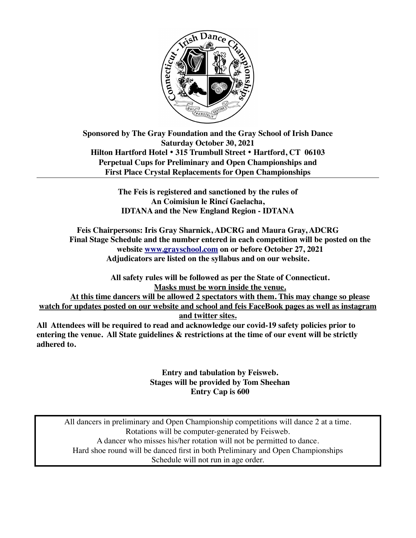

**Sponsored by The Gray Foundation and the Gray School of Irish Dance Saturday October 30, 2021 Hilton Hartford Hotel** • **315 Trumbull Street** • **Hartford, CT 06103 Perpetual Cups for Preliminary and Open Championships and First Place Crystal Replacements for Open Championships** 

> **The Feis is registered and sanctioned by the rules of An Coimisiun le Rincí Gaelacha, IDTANA and the New England Region - IDTANA**

**Feis Chairpersons: Iris Gray Sharnick, ADCRG and Maura Gray, ADCRG Final Stage Schedule and the number entered in each competition will be posted on the website [www.grayschool.com](http://www.grayschool.com) on or before October 27, 2021 Adjudicators are listed on the syllabus and on our website.** 

**All safety rules will be followed as per the State of Connecticut. Masks must be worn inside the venue. At this time dancers will be allowed 2 spectators with them. This may change so please watch for updates posted on our website and school and feis FaceBook pages as well as instagram and twitter sites.** 

**All Attendees will be required to read and acknowledge our covid-19 safety policies prior to entering the venue. All State guidelines & restrictions at the time of our event will be strictly adhered to.** 

> **Entry and tabulation by Feisweb. Stages will be provided by Tom Sheehan Entry Cap is 600**

All dancers in preliminary and Open Championship competitions will dance 2 at a time. Rotations will be computer-generated by Feisweb. A dancer who misses his/her rotation will not be permitted to dance. Hard shoe round will be danced first in both Preliminary and Open Championships Schedule will not run in age order.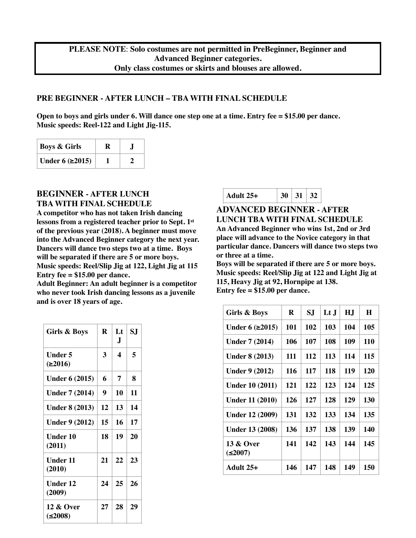#### **PRE BEGINNER - AFTER LUNCH – TBA WITH FINAL SCHEDULE**

**Open to boys and girls under 6. Will dance one step one at a time. Entry fee = \$15.00 per dance. Music speeds: Reel-122 and Light Jig-115.** 

| <b>Boys &amp; Girls</b>  |  |
|--------------------------|--|
| Under $6$ ( $\geq$ 2015) |  |

### **BEGINNER - AFTER LUNCH TBA WITH FINAL SCHEDULE**

**A competitor who has not taken Irish dancing lessons from a registered teacher prior to Sept. 1st of the previous year (2018). A beginner must move into the Advanced Beginner category the next year. Dancers will dance two steps two at a time. Boys will be separated if there are 5 or more boys. Music speeds: Reel/Slip Jig at 122, Light Jig at 115 Entry fee = \$15.00 per dance.** 

**Adult Beginner: An adult beginner is a competitor who never took Irish dancing lessons as a juvenile and is over 18 years of age.**

| <b>Girls &amp; Boys</b>   | R  | Lt<br>J | SJ |
|---------------------------|----|---------|----|
| Under 5<br>(≥2016)        | 3  | 4       | 5  |
| <b>Under 6 (2015)</b>     | 6  | 7       | 8  |
| <b>Under 7 (2014)</b>     | 9  | 10      | 11 |
| <b>Under 8 (2013)</b>     | 12 | 13      | 14 |
| <b>Under 9 (2012)</b>     | 15 | 16      | 17 |
| Under 10<br>(2011)        | 18 | 19      | 20 |
| <b>Under 11</b><br>(2010) | 21 | 22      | 23 |
| Under 12<br>(2009)        | 24 | 25      | 26 |
| 12 & Over<br>≤2008)       | 27 | 28      | 29 |

|--|

### **ADVANCED BEGINNER - AFTER LUNCH TBA WITH FINAL SCHEDULE**

**An Advanced Beginner who wins 1st, 2nd or 3rd place will advance to the Novice category in that particular dance. Dancers will dance two steps two or three at a time.**

**Boys will be separated if there are 5 or more boys. Music speeds: Reel/Slip Jig at 122 and Light Jig at 115, Heavy Jig at 92, Hornpipe at 138. Entry fee = \$15.00 per dance.** 

| Girls & Boys           | R   | SJ  | $\mathbf{L}$ t J | H.J | H   |
|------------------------|-----|-----|------------------|-----|-----|
| Under 6 $(\geq 2015)$  | 101 | 102 | 103              | 104 | 105 |
| <b>Under 7 (2014)</b>  | 106 | 107 | 108              | 109 | 110 |
| <b>Under 8 (2013)</b>  | 111 | 112 | 113              | 114 | 115 |
| <b>Under 9 (2012)</b>  | 116 | 117 | 118              | 119 | 120 |
| <b>Under 10 (2011)</b> | 121 | 122 | 123              | 124 | 125 |
| Under 11 (2010)        | 126 | 127 | 128              | 129 | 130 |
| <b>Under 12 (2009)</b> | 131 | 132 | 133              | 134 | 135 |
| <b>Under 13 (2008)</b> | 136 | 137 | 138              | 139 | 140 |
| 13 & Over<br>(2007)    | 141 | 142 | 143              | 144 | 145 |
| Adult $25+$            | 146 | 147 | 148              | 149 | 150 |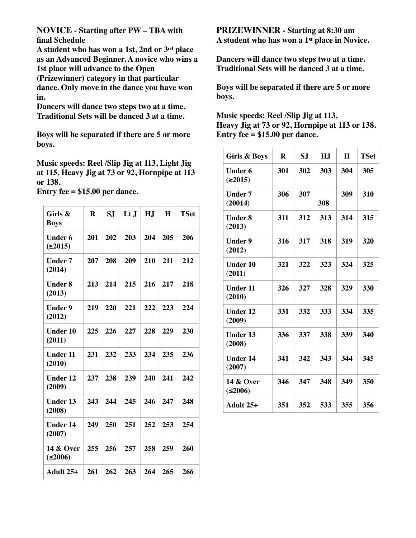**NOVICE - Starting after PW – TBA with final Schedule** 

**A student who has won a 1st, 2nd or 3rd place as an Advanced Beginner. A novice who wins a 1st place will advance to the Open (Prizewinner) category in that particular dance. Only move in the dance you have won in.**

**Dancers will dance two steps two at a time. Traditional Sets will be danced 3 at a time.** 

**Boys will be separated if there are 5 or more boys.** 

**Music speeds: Reel /Slip Jig at 113, Light Jig at 115, Heavy Jig at 73 or 92, Hornpipe at 113 or 138.** 

**Entry fee = \$15.00 per dance.** 

| Girls &<br><b>Boys</b>         | R   | S.I | $L t$ J | H.J | H   | <b>TSet</b> |
|--------------------------------|-----|-----|---------|-----|-----|-------------|
| <b>Under 6</b><br>(2015)       | 201 | 202 | 203     | 204 | 205 | 206         |
| <b>Under 7</b><br>(2014)       | 207 | 208 | 209     | 210 | 211 | 212         |
| <b>Under 8</b><br>(2013)       | 213 | 214 | 215     | 216 | 217 | 218         |
| <b>Under 9</b><br>(2012)       | 219 | 220 | 221     | 222 | 223 | 224         |
| <b>Under 10</b><br>(2011)      | 225 | 226 | 227     | 228 | 229 | 230         |
| <b>Under 11</b><br>(2010)      | 231 | 232 | 233     | 234 | 235 | 236         |
| <b>Under 12</b><br>(2009)      | 237 | 238 | 239     | 240 | 241 | 242         |
| <b>Under 13</b><br>(2008)      | 243 | 244 | 245     | 246 | 247 | 248         |
| <b>Under 14</b><br>(2007)      | 249 | 250 | 251     | 252 | 253 | 254         |
| <b>14 &amp; Over</b><br>(2006) | 255 | 256 | 257     | 258 | 259 | 260         |
| Adult 25+                      | 261 | 262 | 263     | 264 | 265 | 266         |

**PRIZEWINNER - Starting at 8:30 am A student who has won a 1st place in Novice.**

**Dancers will dance two steps two at a time. Traditional Sets will be danced 3 at a time.** 

**Boys will be separated if there are 5 or more boys.** 

**Music speeds: Reel /Slip Jig at 113, Heavy Jig at 73 or 92, Hornpipe at 113 or 138. Entry fee = \$15.00 per dance.** 

| <b>Girls &amp; Boys</b>        | R   | S.I | H.J | H   | <b>TSet</b> |
|--------------------------------|-----|-----|-----|-----|-------------|
| Under 6<br>(2015)              | 301 | 302 | 303 | 304 | 305         |
| <b>Under 7</b><br>(20014)      | 306 | 307 | 308 | 309 | 310         |
| <b>Under 8</b><br>(2013)       | 311 | 312 | 313 | 314 | 315         |
| <b>Under 9</b><br>(2012)       | 316 | 317 | 318 | 319 | 320         |
| <b>Under 10</b><br>(2011)      | 321 | 322 | 323 | 324 | 325         |
| <b>Under 11</b><br>(2010)      | 326 | 327 | 328 | 329 | 330         |
| <b>Under 12</b><br>(2009)      | 331 | 332 | 333 | 334 | 335         |
| <b>Under 13</b><br>(2008)      | 336 | 337 | 338 | 339 | 340         |
| <b>Under 14</b><br>(2007)      | 341 | 342 | 343 | 344 | 345         |
| <b>14 &amp; Over</b><br>(2006) | 346 | 347 | 348 | 349 | 350         |
| Adult $25+$                    | 351 | 352 | 533 | 355 | 356         |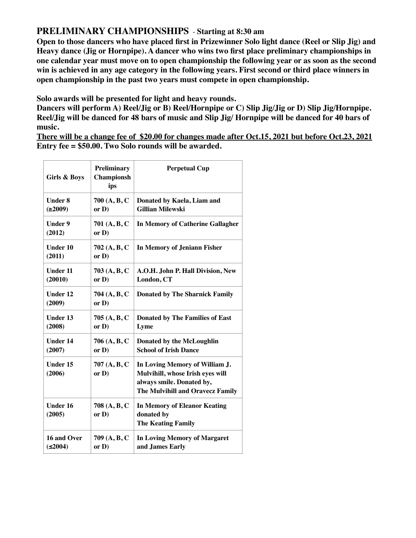# **PRELIMINARY CHAMPIONSHIPS** - **Starting at 8:30 am**

**Open to those dancers who have placed first in Prizewinner Solo light dance (Reel or Slip Jig) and Heavy dance (Jig or Hornpipe). A dancer who wins two first place preliminary championships in one calendar year must move on to open championship the following year or as soon as the second win is achieved in any age category in the following years. First second or third place winners in open championship in the past two years must compete in open championship.**

**Solo awards will be presented for light and heavy rounds.** 

**Dancers will perform A) Reel/Jig or B) Reel/Hornpipe or C) Slip Jig/Jig or D) Slip Jig/Hornpipe. Reel/Jig will be danced for 48 bars of music and Slip Jig/ Hornpipe will be danced for 40 bars of music.**

**There will be a change fee of \$20.00 for changes made after Oct.15, 2021 but before Oct.23, 2021 Entry fee = \$50.00. Two Solo rounds will be awarded.** 

| Girls & Boys                   | <b>Preliminary</b><br><b>Championsh</b><br>ips | <b>Perpetual Cup</b>                                                                                                                |
|--------------------------------|------------------------------------------------|-------------------------------------------------------------------------------------------------------------------------------------|
| <b>Under 8</b><br>(≥2009)      | 700 (A, B, C<br>or D)                          | Donated by Kaela, Liam and<br><b>Gillian Milewski</b>                                                                               |
| <b>Under 9</b><br>(2012)       | 701 (A, B, C<br>or D)                          | <b>In Memory of Catherine Gallagher</b>                                                                                             |
| <b>Under 10</b><br>(2011)      | 702 (A, B, C<br>or D)                          | <b>In Memory of Jeniann Fisher</b>                                                                                                  |
| <b>Under 11</b><br>(20010)     | 703(A, B, C)<br>or D)                          | A.O.H. John P. Hall Division, New<br>London, CT                                                                                     |
| <b>Under 12</b><br>(2009)      | 704 (A, B, C<br>or D)                          | <b>Donated by The Sharnick Family</b>                                                                                               |
| <b>Under 13</b><br>(2008)      | 705(A, B, C)<br>or D)                          | <b>Donated by The Families of East</b><br>Lyme                                                                                      |
| <b>Under 14</b><br>(2007)      | 706 (A, B, C<br>or D)                          | <b>Donated by the McLoughlin</b><br><b>School of Irish Dance</b>                                                                    |
| <b>Under 15</b><br>(2006)      | 707 (A, B, C<br>or D)                          | In Loving Memory of William J.<br>Mulvihill, whose Irish eyes will<br>always smile. Donated by,<br>The Mulvihill and Oravecz Family |
| <b>Under 16</b><br>(2005)      | 708 (A, B, C<br>or $D$ )                       | <b>In Memory of Eleanor Keating</b><br>donated by<br><b>The Keating Family</b>                                                      |
| 16 and Over<br>$( \leq 2004 )$ | 709 (A, B, C<br>or $D$ )                       | <b>In Loving Memory of Margaret</b><br>and James Early                                                                              |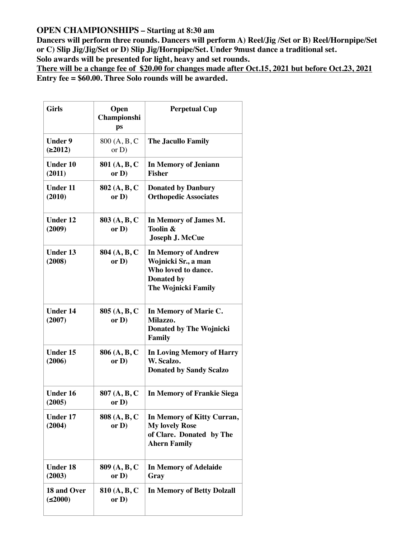## **OPEN CHAMPIONSHIPS – Starting at 8:30 am**

**Dancers will perform three rounds. Dancers will perform A) Reel/Jig /Set or B) Reel/Hornpipe/Set or C) Slip Jig/Jig/Set or D) Slip Jig/Hornpipe/Set. Under 9must dance a traditional set. Solo awards will be presented for light, heavy and set rounds.** 

**There will be a change fee of \$20.00 for changes made after Oct.15, 2021 but before Oct.23, 2021 Entry fee = \$60.00. Three Solo rounds will be awarded.** 

| <b>Girls</b>              | Open<br>Championshi<br>ps | <b>Perpetual Cup</b>                                                                                                 |
|---------------------------|---------------------------|----------------------------------------------------------------------------------------------------------------------|
| <b>Under 9</b><br>(2012)  | 800 (A, B, C<br>or $D$ )  | <b>The Jacullo Family</b>                                                                                            |
| <b>Under 10</b><br>(2011) | 801 (A, B, C<br>or $D$ )  | In Memory of Jeniann<br><b>Fisher</b>                                                                                |
| <b>Under 11</b><br>(2010) | 802 (A, B, C<br>or $D$ )  | <b>Donated by Danbury</b><br><b>Orthopedic Associates</b>                                                            |
| <b>Under 12</b><br>(2009) | 803 (A, B, C<br>or $D$ )  | In Memory of James M.<br>Toolin &<br><b>Joseph J. McCue</b>                                                          |
| <b>Under 13</b><br>(2008) | 804 (A, B, C<br>or $D$ )  | <b>In Memory of Andrew</b><br>Wojnicki Sr., a man<br>Who loved to dance.<br>Donated by<br><b>The Wojnicki Family</b> |
| <b>Under 14</b><br>(2007) | 805 (A, B, C<br>or $D$ )  | In Memory of Marie C.<br>Milazzo.<br><b>Donated by The Wojnicki</b><br>Family                                        |
| <b>Under 15</b><br>(2006) | 806 (A, B, C<br>or D)     | <b>In Loving Memory of Harry</b><br>W. Scalzo.<br><b>Donated by Sandy Scalzo</b>                                     |
| <b>Under 16</b><br>(2005) | 807 (A, B, C<br>or D)     | <b>In Memory of Frankie Siega</b>                                                                                    |
| <b>Under 17</b><br>(2004) | 808 (A, B, C<br>or D)     | In Memory of Kitty Curran,<br><b>My lovely Rose</b><br>of Clare. Donated by The<br><b>Ahern Family</b>               |
| <b>Under 18</b><br>(2003) | 809 (A, B, C<br>or $D$ )  | <b>In Memory of Adelaide</b><br>Gray                                                                                 |
| 18 and Over<br>≤2000)     | 810 (A, B, C<br>or $D$ )  | <b>In Memory of Betty Dolzall</b>                                                                                    |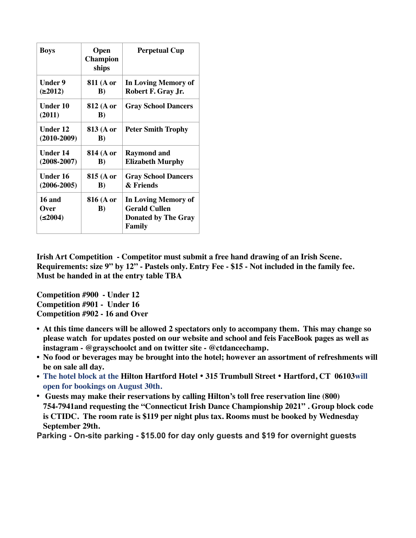| <b>Boys</b>                            | Open<br><b>Champion</b><br>ships | <b>Perpetual Cup</b>                                                                |
|----------------------------------------|----------------------------------|-------------------------------------------------------------------------------------|
| Under 9<br>(≥2012)                     | 811 (A or<br>B)                  | In Loving Memory of<br>Robert F. Gray Jr.                                           |
| Under 10<br>(2011)                     | 812 (A or<br>$\bf{B})$           | <b>Gray School Dancers</b>                                                          |
| <b>Under 12</b><br>$(2010-2009)$       | 813 (A or<br>B)                  | <b>Peter Smith Trophy</b>                                                           |
| Under 14<br>$(2008 - 2007)$            | 814 (A or<br>$\bf{B})$           | <b>Raymond and</b><br><b>Elizabeth Murphy</b>                                       |
| Under 16<br>$(2006 - 2005)$            | 815 (A or<br>$\bf{B}$            | <b>Gray School Dancers</b><br>& Friends                                             |
| <b>16 and</b><br><b>Over</b><br>≤2004) | 816 (A or<br>$\bf{B}$            | In Loving Memory of<br><b>Gerald Cullen</b><br><b>Donated by The Gray</b><br>Family |

**Irish Art Competition - Competitor must submit a free hand drawing of an Irish Scene. Requirements: size 9" by 12" - Pastels only. Entry Fee - \$15 - Not included in the family fee. Must be handed in at the entry table TBA** 

**Competition #900 - Under 12 Competition #901 - Under 16 Competition #902 - 16 and Over**

- **• At this time dancers will be allowed 2 spectators only to accompany them. This may change so please watch for updates posted on our website and school and feis FaceBook pages as well as instagram - @grayschoolct and on twitter site - @ctdancechamp.**
- **• No food or beverages may be brought into the hotel; however an assortment of refreshments will be on sale all day.**
- **• The hotel block at the Hilton Hartford Hotel** • **315 Trumbull Street** • **Hartford, CT 06103will open for bookings on August 30th.**
- **• Guests may make their reservations by calling Hilton's toll free reservation line (800) 754-7941and requesting the "Connecticut Irish Dance Championship 2021" . Group block code is CTIDC. The room rate is \$119 per night plus tax. Rooms must be booked by Wednesday September 29th.**

**Parking - On-site parking - \$15.00 for day only guests and \$19 for overnight guests**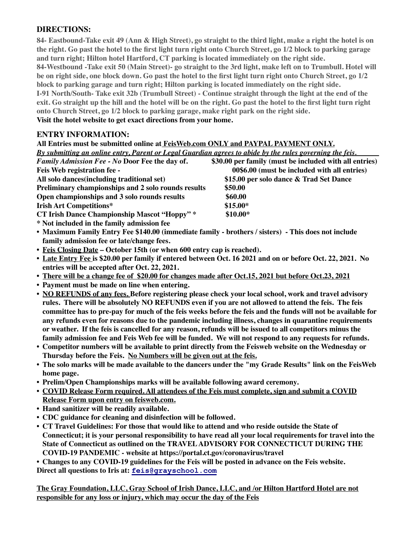## **DIRECTIONS:**

**84- Eastbound-Take exit 49 (Ann & High Street), go straight to the third light, make a right the hotel is on the right. Go past the hotel to the first light turn right onto Church Street, go 1/2 block to parking garage and turn right; Hilton hotel Hartford, CT parking is located immediately on the right side. 84-Westbound -Take exit 50 (Main Street)- go straight to the 3rd light, make left on to Trumbull. Hotel will be on right side, one block down. Go past the hotel to the first light turn right onto Church Street, go 1/2 block to parking garage and turn right; Hilton parking is located immediately on the right side. I-91 North/South- Take exit 32b (Trumbull Street) - Continue straight through the light at the end of the exit. Go straight up the hill and the hotel will be on the right. Go past the hotel to the first light turn right onto Church Street, go 1/2 block to parking garage, make right park on the right side. Visit the hotel website to get exact directions from your home.**

## **ENTRY INFORMATION:**

| All Entries must be submitted online at FeisWeb.com ONLY and PAYPAL PAYMENT ONLY.                        |                                                        |  |  |  |
|----------------------------------------------------------------------------------------------------------|--------------------------------------------------------|--|--|--|
| By submitting an online entry, Parent or Legal Guardian agrees to abide by the rules governing the feis. |                                                        |  |  |  |
| <b>Family Admission Fee - No Door Fee the day of.</b>                                                    | \$30.00 per family (must be included with all entries) |  |  |  |
| Feis Web registration fee -                                                                              | 00\$6.00 (must be included with all entries)           |  |  |  |
| All solo dances (including traditional set)                                                              | \$15.00 per solo dance & Trad Set Dance                |  |  |  |
| Preliminary championships and 2 solo rounds results                                                      | \$50.00                                                |  |  |  |
| Open championships and 3 solo rounds results                                                             | \$60.00                                                |  |  |  |
| <b>Irish Art Competitions*</b>                                                                           | $$15.00*$                                              |  |  |  |
| <b>CT Irish Dance Championship Mascot "Hoppy"</b> *                                                      | $$10.00*$                                              |  |  |  |
| * Not included in the family admission fee                                                               |                                                        |  |  |  |

- **• Maximum Family Entry Fee \$140.00 (immediate family brothers / sisters) This does not include family admission fee or late/change fees.**
- **• Feis Closing Date October 15th (or when 600 entry cap is reached).**
- **• Late Entry Fee is \$20.00 per family if entered between Oct. 16 2021 and on or before Oct. 22, 2021. No entries will be accepted after Oct. 22, 2021.**
- **• There will be a change fee of \$20.00 for changes made after Oct.15, 2021 but before Oct.23, 2021**
- **• Payment must be made on line when entering.**
- **• NO REFUNDS of any fees. Before registering please check your local school, work and travel advisory rules. There will be absolutely NO REFUNDS even if you are not allowed to attend the feis. The feis committee has to pre-pay for much of the feis weeks before the feis and the funds will not be available for any refunds even for reasons due to the pandemic including illness, changes in quarantine requirements or weather. If the feis is cancelled for any reason, refunds will be issued to all competitors minus the family admission fee and Feis Web fee will be funded. We will not respond to any requests for refunds.**
- **• Competitor numbers will be available to print directly from the Feisweb website on the Wednesday or Thursday before the Feis. No Numbers will be given out at the feis.**
- **• The solo marks will be made available to the dancers under the "my Grade Results" link on the FeisWeb home page.**
- **• Prelim/Open Championships marks will be available following award ceremony.**
- **• COVID Release Form required. All attendees of the Feis must complete, sign and submit a COVID Release Form upon entry on feisweb.com.**
- **• Hand sanitizer will be readily available.**
- **• CDC guidance for cleaning and disinfection will be followed.**
- **• CT Travel Guidelines: For those that would like to attend and who reside outside the State of Connecticut; it is your personal responsibility to have read all your local requirements for travel into the State of Connecticut as outlined on the TRAVEL ADVISORY FOR CONNECTICUT DURING THE COVID-19 PANDEMIC - website at https://portal.ct.gov/coronavirus/travel**

**• Changes to any COVID-19 guidelines for the Feis will be posted in advance on the Feis website. Direct all questions to Iris at: [feis@grayschool.com](mailto:iris@grayschool.com)**

**The Gray Foundation, LLC, Gray School of Irish Dance, LLC, and /or Hilton Hartford Hotel are not responsible for any loss or injury, which may occur the day of the Feis**